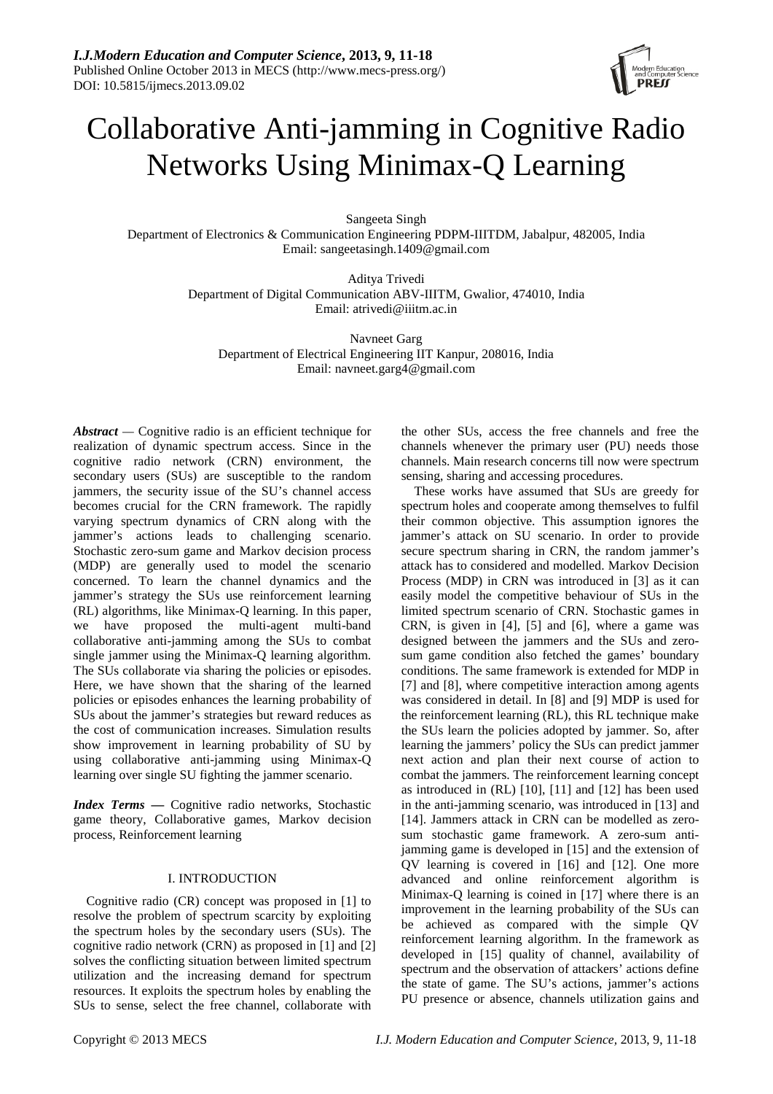

# Collaborative Anti-jamming in Cognitive Radio Networks Using Minimax-Q Learning

Sangeeta Singh Department of Electronics & Communication Engineering PDPM-IIITDM, Jabalpur, 482005, India Email: sangeetasingh.1409@gmail.com

> Aditya Trivedi Department of Digital Communication ABV-IIITM, Gwalior, 474010, India Email: atrivedi@iiitm.ac.in

Navneet Garg Department of Electrical Engineering IIT Kanpur, 208016, India Email: navneet.garg4@gmail.com

*Abstract —* Cognitive radio is an efficient technique for realization of dynamic spectrum access. Since in the cognitive radio network (CRN) environment, the secondary users (SUs) are susceptible to the random jammers, the security issue of the SU's channel access becomes crucial for the CRN framework. The rapidly varying spectrum dynamics of CRN along with the jammer's actions leads to challenging scenario. Stochastic zero-sum game and Markov decision process (MDP) are generally used to model the scenario concerned. To learn the channel dynamics and the jammer's strategy the SUs use reinforcement learning (RL) algorithms, like Minimax-Q learning. In this paper, we have proposed the multi-agent multi-band collaborative anti-jamming among the SUs to combat single jammer using the Minimax-Q learning algorithm. The SUs collaborate via sharing the policies or episodes. Here, we have shown that the sharing of the learned policies or episodes enhances the learning probability of SUs about the jammer's strategies but reward reduces as the cost of communication increases. Simulation results show improvement in learning probability of SU by using collaborative anti-jamming using Minimax-Q learning over single SU fighting the jammer scenario.

*Index Terms* **—** Cognitive radio networks, Stochastic game theory, Collaborative games, Markov decision process, Reinforcement learning

### I. INTRODUCTION

Cognitive radio (CR) concept was proposed in [1] to resolve the problem of spectrum scarcity by exploiting the spectrum holes by the secondary users (SUs). The cognitive radio network (CRN) as proposed in [1] and [2] solves the conflicting situation between limited spectrum utilization and the increasing demand for spectrum resources. It exploits the spectrum holes by enabling the SUs to sense, select the free channel, collaborate with

the other SUs, access the free channels and free the channels whenever the primary user (PU) needs those channels. Main research concerns till now were spectrum sensing, sharing and accessing procedures.

These works have assumed that SUs are greedy for spectrum holes and cooperate among themselves to fulfil their common objective. This assumption ignores the jammer's attack on SU scenario. In order to provide secure spectrum sharing in CRN, the random jammer's attack has to considered and modelled. Markov Decision Process (MDP) in CRN was introduced in [3] as it can easily model the competitive behaviour of SUs in the limited spectrum scenario of CRN. Stochastic games in CRN, is given in [4], [5] and [6], where a game was designed between the jammers and the SUs and zerosum game condition also fetched the games' boundary conditions. The same framework is extended for MDP in [7] and [8], where competitive interaction among agents was considered in detail. In [8] and [9] MDP is used for the reinforcement learning (RL), this RL technique make the SUs learn the policies adopted by jammer. So, after learning the jammers' policy the SUs can predict jammer next action and plan their next course of action to combat the jammers. The reinforcement learning concept as introduced in (RL) [10], [11] and [12] has been used in the anti-jamming scenario, was introduced in [13] and [14]. Jammers attack in CRN can be modelled as zerosum stochastic game framework. A zero-sum antijamming game is developed in [15] and the extension of QV learning is covered in [16] and [12]. One more advanced and online reinforcement algorithm is Minimax-Q learning is coined in [17] where there is an improvement in the learning probability of the SUs can be achieved as compared with the simple QV reinforcement learning algorithm. In the framework as developed in [15] quality of channel, availability of spectrum and the observation of attackers' actions define the state of game. The SU's actions, jammer's actions PU presence or absence, channels utilization gains and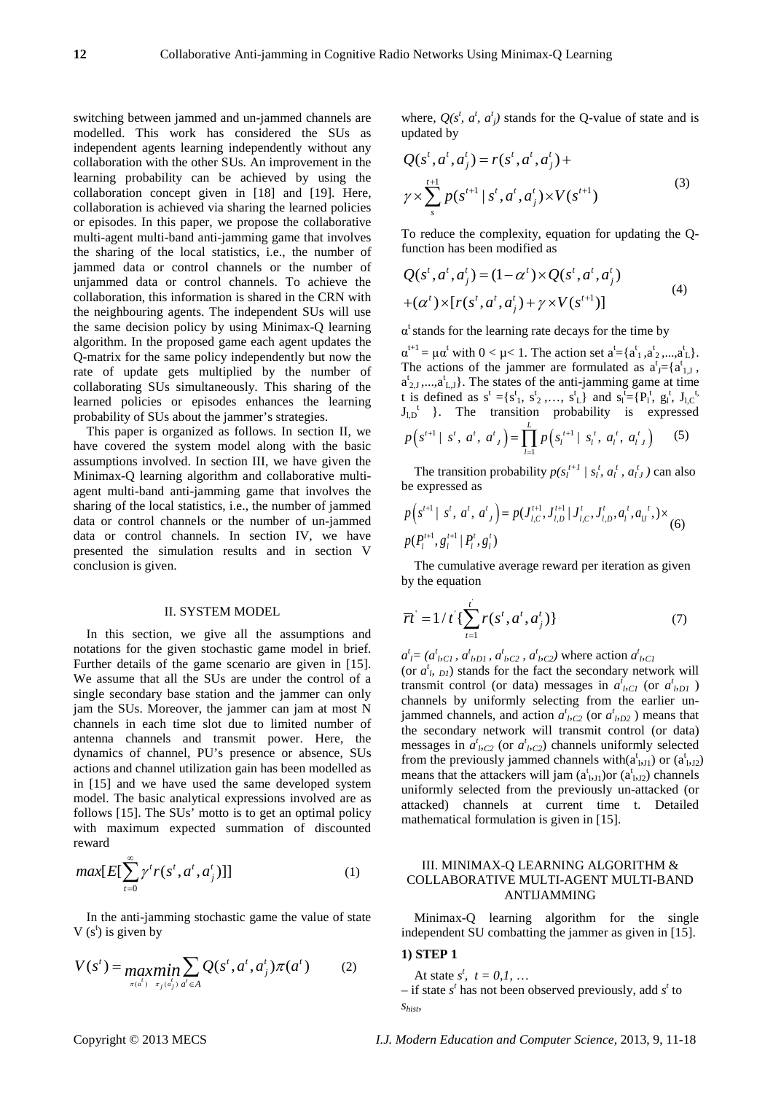switching between jammed and un-jammed channels are modelled. This work has considered the SUs as independent agents learning independently without any collaboration with the other SUs. An improvement in the learning probability can be achieved by using the collaboration concept given in [18] and [19]. Here, collaboration is achieved via sharing the learned policies or episodes. In this paper, we propose the collaborative multi-agent multi-band anti-jamming game that involves the sharing of the local statistics, i.e., the number of jammed data or control channels or the number of unjammed data or control channels. To achieve the collaboration, this information is shared in the CRN with the neighbouring agents. The independent SUs will use the same decision policy by using Minimax-Q learning algorithm. In the proposed game each agent updates the Q-matrix for the same policy independently but now the rate of update gets multiplied by the number of collaborating SUs simultaneously. This sharing of the learned policies or episodes enhances the learning probability of SUs about the jammer's strategies.

This paper is organized as follows. In section II, we have covered the system model along with the basic assumptions involved. In section III, we have given the Minimax-Q learning algorithm and collaborative multiagent multi-band anti-jamming game that involves the sharing of the local statistics, i.e., the number of jammed data or control channels or the number of un-jammed data or control channels. In section IV, we have presented the simulation results and in section V conclusion is given.

#### II. SYSTEM MODEL

In this section, we give all the assumptions and notations for the given stochastic game model in brief. Further details of the game scenario are given in [15]. We assume that all the SUs are under the control of a single secondary base station and the jammer can only jam the SUs. Moreover, the jammer can jam at most N channels in each time slot due to limited number of antenna channels and transmit power. Here, the dynamics of channel, PU's presence or absence, SUs actions and channel utilization gain has been modelled as in [15] and we have used the same developed system model. The basic analytical expressions involved are as follows [15]. The SUs' motto is to get an optimal policy with maximum expected summation of discounted reward

$$
max[E[\sum_{t=0}^{\infty} \gamma^t r(s^t, a^t, a^t_j)]] \qquad (1)
$$

In the anti-jamming stochastic game the value of state  $V(s^t)$  is given by

$$
V(s^{t}) = \max_{\pi(a^{t})} \sum_{\pi_{j}(a^{t}_{j})} \sum_{a^{t} \in A} Q(s^{t}, a^{t}, a^{t}_{j}) \pi(a^{t})
$$
 (2)

where,  $Q(s^t, a^t, a^t)$  stands for the Q-value of state and is updated by

$$
Q(st, at, atj) = r(st, at, atj) +
$$
  
\n
$$
\gamma \times \sum_{s}^{t+1} p(s^{t+1} | st, at, atj) \times V(s^{t+1})
$$
\n(3)

To reduce the complexity, equation for updating the Qfunction has been modified as

$$
Q(s^t, a^t, a^t) = (1 - \alpha^t) \times Q(s^t, a^t, a^t)
$$
  
 
$$
+ (\alpha^t) \times [r(s^t, a^t, a^t) + \gamma \times V(s^{t+1})]
$$
 (4)

 $\alpha^t$  stands for the learning rate decays for the time by

 $\alpha^{t+1} = \mu \alpha^t$  with  $0 < \mu < 1$ . The action set  $a^t = \{a^t_1, a^t_2, ..., a^t_L\}$ . The actions of the jammer are formulated as  $a_{j}^{t} = \{a_{1,J}^{t}, a_{2,J}^{t}\}$  $a_{2,J}^t, ..., a_{L,J}^t$ . The states of the anti-jamming game at time t is defined as  $s^t = \{s^t_1, s^t_2, ..., s^t_L\}$  and  $s^t_1 = \{P^t_1, g^t_1, J_{t,C}^t,$  $J_{LD}$ <sup>t</sup> }. The transition probability is expressed  $\frac{L}{2}$ 

$$
p(s^{t+1} | s^t, a^t, a^t) = \prod_{l=1} p(s_l^{t+1} | s_l^t, a_l^t, a_l^t)
$$
 (5)

The transition probability  $p(s_l^{t+1} / s_l^t, a_l^t, a_l^t)$  can also be expressed as

$$
p(s^{t+1} | s^t, a^t, a^t) = p(J_{l,C}^{t+1}, J_{l,D}^{t+1} | J_{l,C}^t, J_{l,D}^t, a_l^t, a_{ll}^t, ) \times
$$
  
\n
$$
p(P_l^{t+1}, g_l^{t+1} | P_l^t, g_l^t)
$$

The cumulative average reward per iteration as given by the equation

$$
\overline{rt} = 1/t \left\{ \sum_{t=1}^{i} r(s^t, a^t, a_j^t) \right\}
$$
 (7)

 $a^t$ <sup>*l*</sup> = ( $a^t$ <sub>*l*</sub>,C<sub>1</sub>,  $a^t$ <sub>*l*</sub>,D<sub>1</sub>,  $a^t$ <sub>*l*</sub>,C<sub>2</sub>,  $a^t$ <sub>*l*</sub>,C<sub>2</sub>) where action  $a^t$ <sub>*l*</sub>,C<sub>1</sub>

(or  $a_{b}^{t}$ ,  $D_l$ ) stands for the fact the secondary network will transmit control (or data) messages in  $a_{bC}^{t}$  (or  $a_{bD1}^{t}$ ) channels by uniformly selecting from the earlier unjammed channels, and action  $a_{bC2}^t$  (or  $a_{bD2}^t$ ) means that the secondary network will transmit control (or data) messages in  $a^t{}_{bc2}$  (or  $a^t{}_{bc2}$ ) channels uniformly selected from the previously jammed channels with $(a_{1}^{t}, a_{1}^{t})$  or  $(a_{1}^{t}, a_{2}^{t})$ means that the attackers will jam  $(a_{1}^{t}, a_{1}^{t})$  channels uniformly selected from the previously un-attacked (or attacked) channels at current time t. Detailed mathematical formulation is given in [15].

## III. MINIMAX-Q LEARNING ALGORITHM & COLLABORATIVE MULTI-AGENT MULTI-BAND ANTIJAMMING

Minimax-Q learning algorithm for the single independent SU combatting the jammer as given in [15].

#### **1) STEP 1**

At state  $s^t$ ,  $t = 0, 1, ...$  $-$  if state  $s<sup>t</sup>$  has not been observed previously, add  $s<sup>t</sup>$  to *shist*,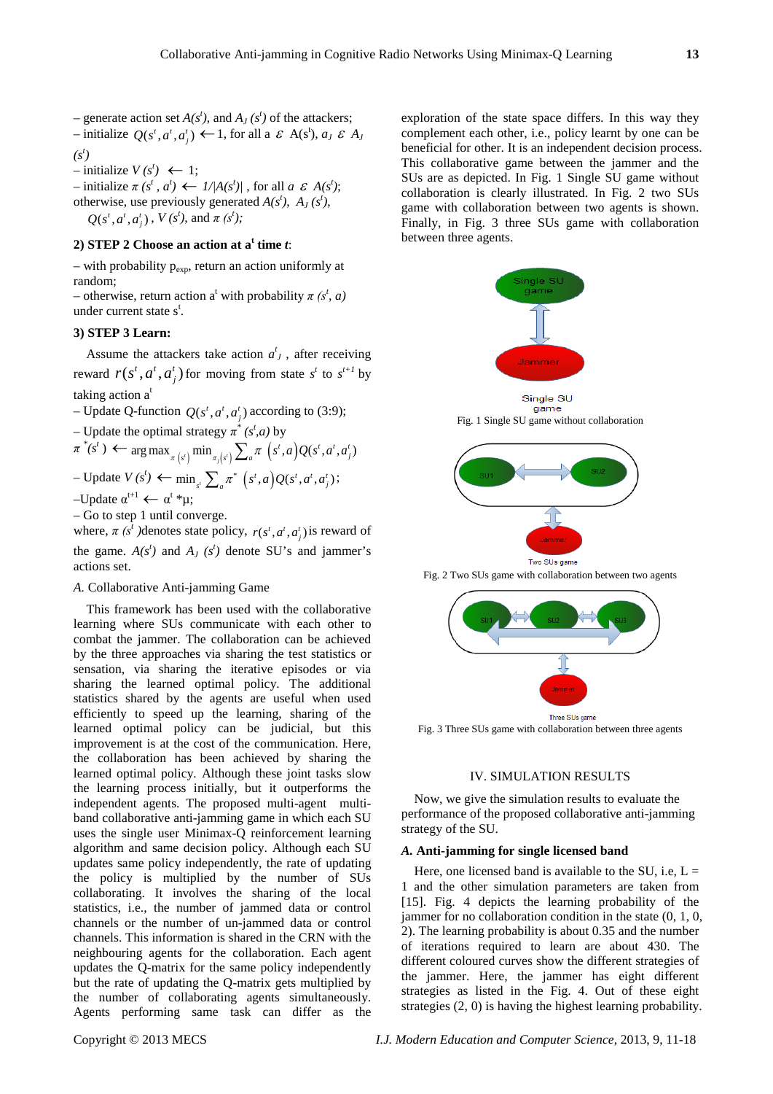– generate action set  $A(s^t)$ , and  $A_J(s^t)$  of the attackers;  $\theta$  initialize  $Q(s^t, a^t, a^t) \leftarrow 1$ , for all a  $\varepsilon$  A(s<sup>t</sup>),  $a_J \varepsilon A_J$ 

*(st )*

 $-$  initialize  $V(s^t) \leftarrow 1;$ 

 $\sim$  initialize  $\pi(s^t, a^t)$  ←  $1/|A(s^t)|$ , for all  $a \in A(s^t)$ ; otherwise, use previously generated  $A(s^t)$ ,  $A_J(s^t)$ ,  $Q(s^t, a^t, a^t_j)$  ,  $V(s^t)$ , and  $\pi(s^t)$ ;

#### **2) STEP 2 Choose an action at a<sup>t</sup> time** *t*:

– with probability  $p_{exp}$ , return an action uniformly at random;

 $\sim$  otherwise, return action a<sup>t</sup> with probability  $\pi$  (s<sup>*t*</sup>, *a*) under current state  $s^t$ .

## **3) STEP 3 Learn:**

Assume the attackers take action  $a<sup>t</sup>$ , after receiving reward  $r(s^t, a^t, a^t)$  for moving from state  $s^t$  to  $s^{t+1}$  by taking action  $a^t$ 

– Update Q-function  $Q(s^t, a^t, a^t)$  according to (3:9);

– Update the optimal strategy  $\pi^*$   $(s^t, a)$  by

$$
\pi^*(s') \leftarrow \arg \max_{\pi(s')} \min_{\pi_j(s')} \sum_a \pi(s',a) Q(s',a',a'_j)
$$
  
- Update  $V(s') \leftarrow \min_{s'} \sum_a \pi^*(s',a) Q(s',a',a'_j);$ 

 $\text{–Update } \alpha^{t+1} \leftarrow \alpha^t * \mu;$ 

– Go to step 1 until converge.

where,  $\pi$  (s<sup>*t*</sup>) denotes state policy,  $r(s^t, a^t, a^t)$  is reward of the game.  $A(s^t)$  and  $A_J$   $(s^t)$  denote SU's and jammer's actions set.

#### *A.* Collaborative Anti-jamming Game

This framework has been used with the collaborative learning where SUs communicate with each other to combat the jammer. The collaboration can be achieved by the three approaches via sharing the test statistics or sensation, via sharing the iterative episodes or via sharing the learned optimal policy. The additional statistics shared by the agents are useful when used efficiently to speed up the learning, sharing of the learned optimal policy can be judicial, but this improvement is at the cost of the communication. Here, the collaboration has been achieved by sharing the learned optimal policy. Although these joint tasks slow the learning process initially, but it outperforms the independent agents. The proposed multi-agent multiband collaborative anti-jamming game in which each SU uses the single user Minimax-Q reinforcement learning algorithm and same decision policy. Although each SU updates same policy independently, the rate of updating the policy is multiplied by the number of SUs collaborating. It involves the sharing of the local statistics, i.e., the number of jammed data or control channels or the number of un-jammed data or control channels. This information is shared in the CRN with the neighbouring agents for the collaboration. Each agent updates the Q-matrix for the same policy independently but the rate of updating the Q-matrix gets multiplied by the number of collaborating agents simultaneously. Agents performing same task can differ as the

exploration of the state space differs. In this way they complement each other, i.e., policy learnt by one can be beneficial for other. It is an independent decision process. This collaborative game between the jammer and the SUs are as depicted. In Fig. 1 Single SU game without collaboration is clearly illustrated. In Fig. 2 two SUs game with collaboration between two agents is shown. Finally, in Fig. 3 three SUs game with collaboration between three agents.





Fig. 2 Two SUs game with collaboration between two agents



Fig. 3 Three SUs game with collaboration between three agents

#### IV. SIMULATION RESULTS

Now, we give the simulation results to evaluate the performance of the proposed collaborative anti-jamming strategy of the SU.

### *A.* **Anti-jamming for single licensed band**

Here, one licensed band is available to the SU, i.e,  $L =$ 1 and the other simulation parameters are taken from [15]. Fig. 4 depicts the learning probability of the jammer for no collaboration condition in the state (0, 1, 0, 2). The learning probability is about 0.35 and the number of iterations required to learn are about 430. The different coloured curves show the different strategies of the jammer. Here, the jammer has eight different strategies as listed in the Fig. 4. Out of these eight strategies (2, 0) is having the highest learning probability.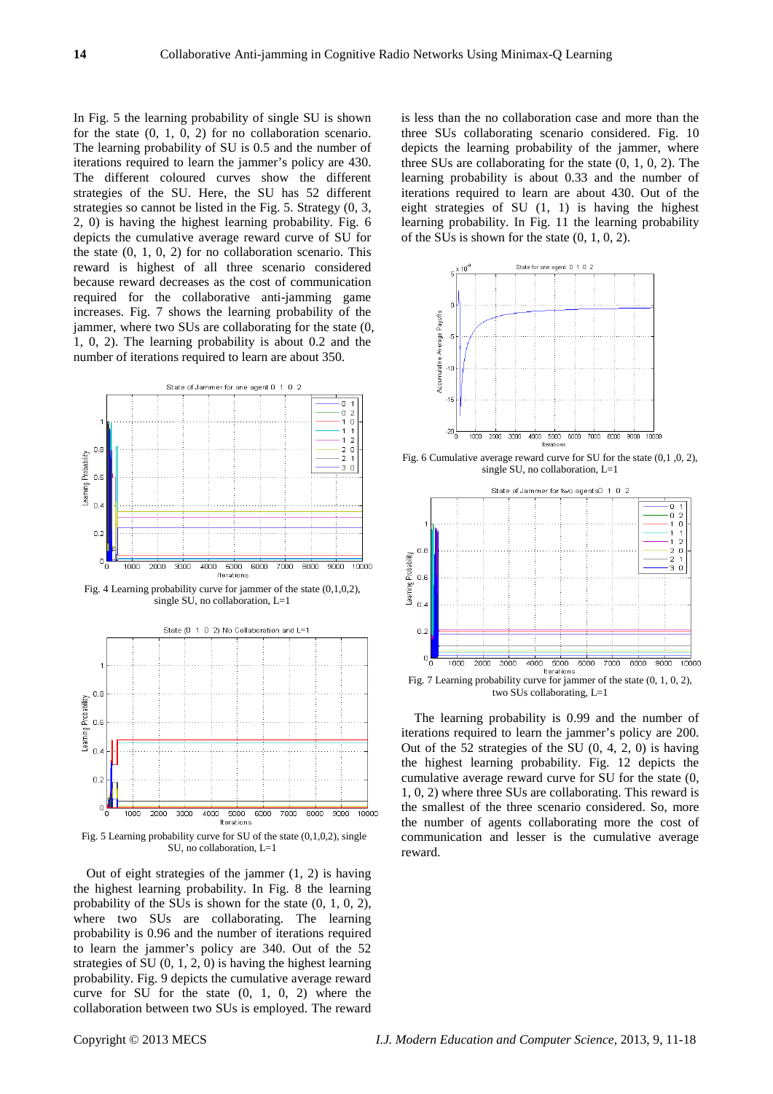In Fig. 5 the learning probability of single SU is shown for the state (0, 1, 0, 2) for no collaboration scenario. The learning probability of SU is 0.5 and the number of iterations required to learn the jammer's policy are 430. The different coloured curves show the different strategies of the SU. Here, the SU has 52 different strategies so cannot be listed in the Fig. 5. Strategy (0, 3, 2, 0) is having the highest learning probability. Fig. 6 depicts the cumulative average reward curve of SU for the state (0, 1, 0, 2) for no collaboration scenario. This reward is highest of all three scenario considered because reward decreases as the cost of communication required for the collaborative anti-jamming game increases. Fig. 7 shows the learning probability of the jammer, where two SUs are collaborating for the state (0, 1, 0, 2). The learning probability is about 0.2 and the number of iterations required to learn are about 350.



Fig. 5 Learning probability curve for SU of the state (0,1,0,2), single SU, no collaboration, L=1

Out of eight strategies of the jammer  $(1, 2)$  is having the highest learning probability. In Fig. 8 the learning probability of the SUs is shown for the state (0, 1, 0, 2), where two SUs are collaborating. The learning probability is 0.96 and the number of iterations required to learn the jammer's policy are 340. Out of the 52 strategies of SU (0, 1, 2, 0) is having the highest learning probability. Fig. 9 depicts the cumulative average reward curve for SU for the state (0, 1, 0, 2) where the collaboration between two SUs is employed. The reward is less than the no collaboration case and more than the three SUs collaborating scenario considered. Fig. 10 depicts the learning probability of the jammer, where three SUs are collaborating for the state (0, 1, 0, 2). The learning probability is about 0.33 and the number of iterations required to learn are about 430. Out of the eight strategies of SU (1, 1) is having the highest learning probability. In Fig. 11 the learning probability of the SUs is shown for the state (0, 1, 0, 2).



Fig. 6 Cumulative average reward curve for SU for the state (0,1 ,0, 2), single SU, no collaboration, L=1



The learning probability is 0.99 and the number of iterations required to learn the jammer's policy are 200. Out of the 52 strategies of the SU (0, 4, 2, 0) is having the highest learning probability. Fig. 12 depicts the cumulative average reward curve for SU for the state (0, 1, 0, 2) where three SUs are collaborating. This reward is the smallest of the three scenario considered. So, more the number of agents collaborating more the cost of communication and lesser is the cumulative average reward.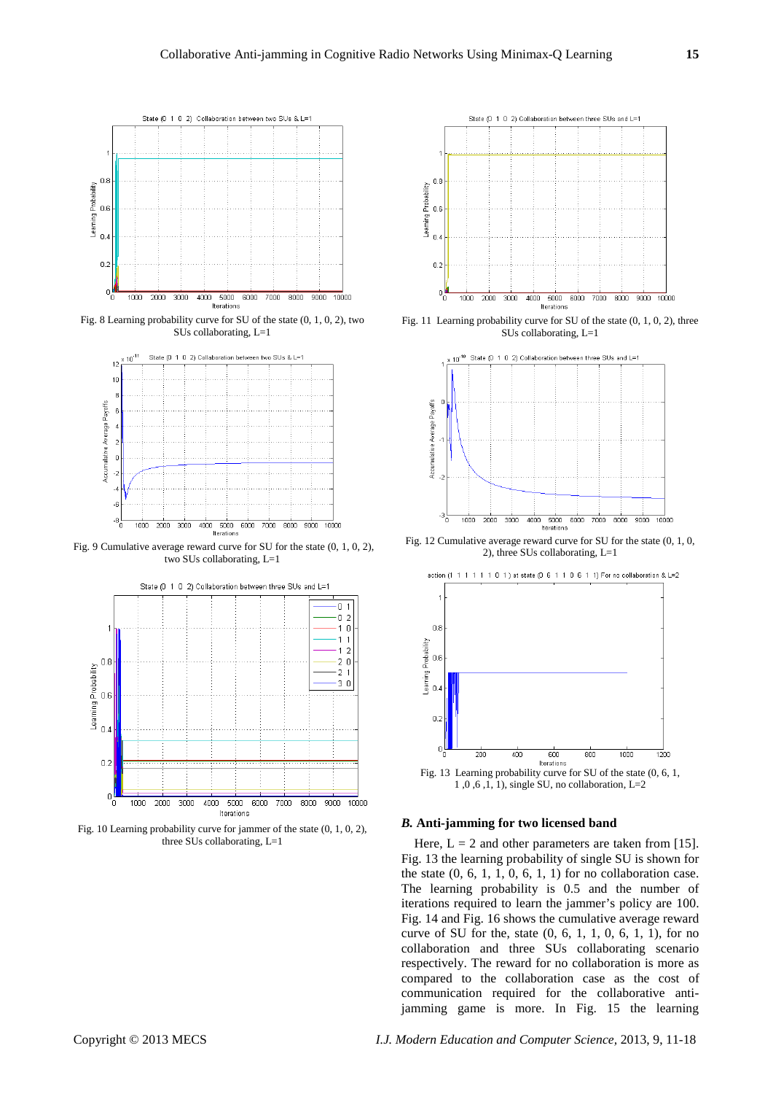

Fig. 8 Learning probability curve for SU of the state (0, 1, 0, 2), two SUs collaborating, L=1



Fig. 9 Cumulative average reward curve for SU for the state (0, 1, 0, 2), two SUs collaborating, L=1



Fig. 10 Learning probability curve for jammer of the state (0, 1, 0, 2), three SUs collaborating, L=1



Fig. 11 Learning probability curve for SU of the state (0, 1, 0, 2), three SUs collaborating, L=1



Fig. 12 Cumulative average reward curve for SU for the state (0, 1, 0, 2), three SUs collaborating, L=1



#### *B.* **Anti-jamming for two licensed band**

Here,  $L = 2$  and other parameters are taken from [15]. Fig. 13 the learning probability of single SU is shown for the state  $(0, 6, 1, 1, 0, 6, 1, 1)$  for no collaboration case. The learning probability is 0.5 and the number of iterations required to learn the jammer's policy are 100. Fig. 14 and Fig. 16 shows the cumulative average reward curve of SU for the, state (0, 6, 1, 1, 0, 6, 1, 1), for no collaboration and three SUs collaborating scenario respectively. The reward for no collaboration is more as compared to the collaboration case as the cost of communication required for the collaborative antijamming game is more. In Fig. 15 the learning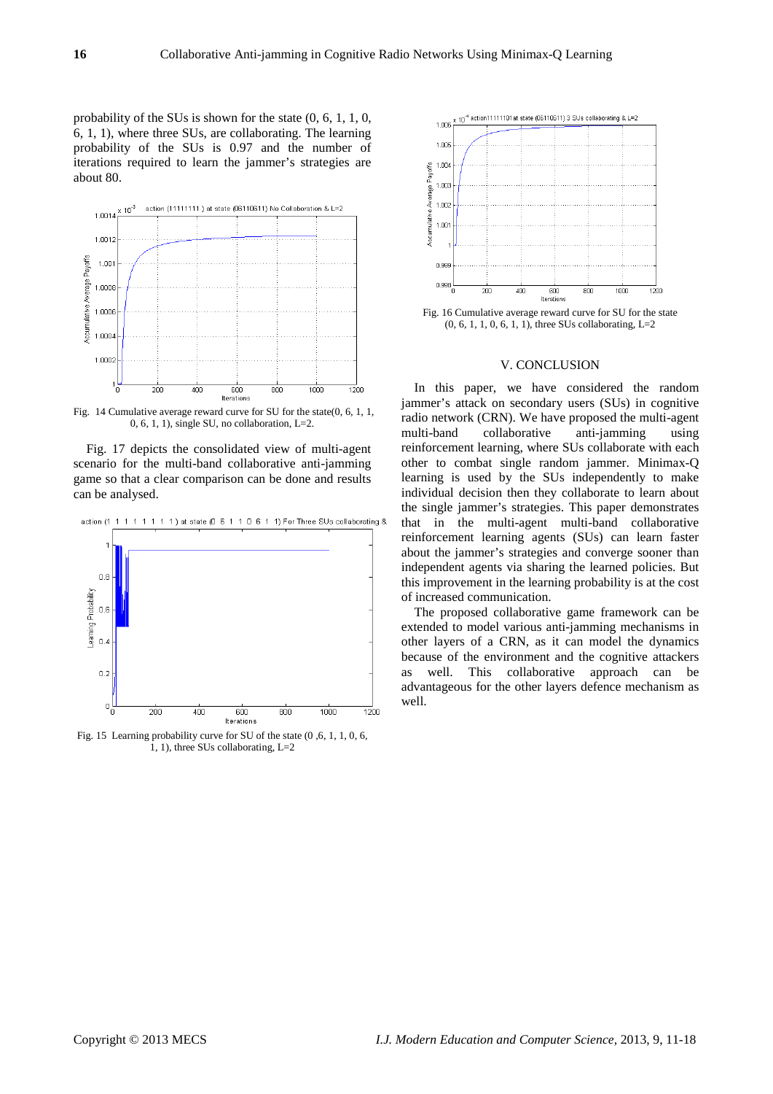probability of the SUs is shown for the state (0, 6, 1, 1, 0, 6, 1, 1), where three SUs, are collaborating. The learning probability of the SUs is 0.97 and the number of iterations required to learn the jammer's strategies are about 80.



Fig. 14 Cumulative average reward curve for SU for the state(0, 6, 1, 1,  $0, 6, 1, 1$ , single SU, no collaboration, L=2.

Fig. 17 depicts the consolidated view of multi-agent scenario for the multi-band collaborative anti-jamming game so that a clear comparison can be done and results can be analysed.



Fig. 15 Learning probability curve for SU of the state (0 ,6, 1, 1, 0, 6, 1, 1), three SUs collaborating, L=2



Fig. 16 Cumulative average reward curve for SU for the state  $(0, 6, 1, 1, 0, 6, 1, 1)$ , three SUs collaborating, L=2

#### V. CONCLUSION

In this paper, we have considered the random jammer's attack on secondary users (SUs) in cognitive radio network (CRN). We have proposed the multi-agent multi-band collaborative anti-jamming using reinforcement learning, where SUs collaborate with each other to combat single random jammer. Minimax-Q learning is used by the SUs independently to make individual decision then they collaborate to learn about the single jammer's strategies. This paper demonstrates that in the multi-agent multi-band collaborative reinforcement learning agents (SUs) can learn faster about the jammer's strategies and converge sooner than independent agents via sharing the learned policies. But this improvement in the learning probability is at the cost of increased communication.

The proposed collaborative game framework can be extended to model various anti-jamming mechanisms in other layers of a CRN, as it can model the dynamics because of the environment and the cognitive attackers as well. This collaborative approach can be advantageous for the other layers defence mechanism as well.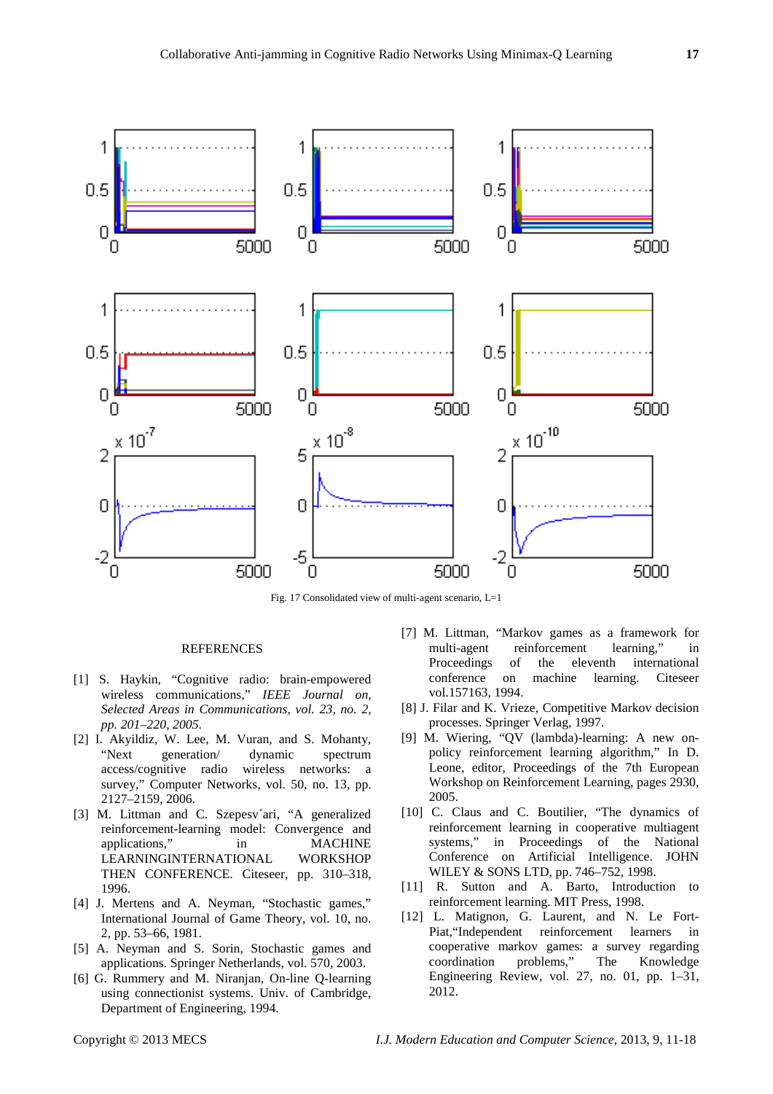

Fig. 17 Consolidated view of multi-agent scenario, L=1

### REFERENCES

- [1] S. Haykin, "Cognitive radio: brain-empowered wireless communications," *IEEE Journal on, Selected Areas in Communications, vol. 23, no. 2, pp. 201–220, 2005*.
- [2] I. Akyildiz, W. Lee, M. Vuran, and S. Mohanty, "Next generation/ dynamic spectrum access/cognitive radio wireless networks: a survey," Computer Networks, vol. 50, no. 13, pp. 2127–2159, 2006.
- [3] M. Littman and C. Szepesv´ari, "A generalized reinforcement-learning model: Convergence and applications," in MACHINE LEARNINGINTERNATIONAL WORKSHOP THEN CONFERENCE. Citeseer, pp. 310–318, 1996.
- [4] J. Mertens and A. Neyman, "Stochastic games," International Journal of Game Theory, vol. 10, no. 2, pp. 53–66, 1981.
- [5] A. Neyman and S. Sorin, Stochastic games and applications. Springer Netherlands, vol. 570, 2003.
- [6] G. Rummery and M. Niranjan, On-line Q-learning using connectionist systems. Univ. of Cambridge, Department of Engineering, 1994.
- [7] M. Littman, "Markov games as a framework for multi-agent reinforcement learning," in Proceedings of the eleventh international conference on machine learning. Citeseer vol.157163, 1994.
- [8] J. Filar and K. Vrieze, Competitive Markov decision processes. Springer Verlag, 1997.
- [9] M. Wiering, "QV (lambda)-learning: A new onpolicy reinforcement learning algorithm," In D. Leone, editor, Proceedings of the 7th European Workshop on Reinforcement Learning, pages 2930, 2005.
- [10] C. Claus and C. Boutilier, "The dynamics of reinforcement learning in cooperative multiagent systems," in Proceedings of the National Conference on Artificial Intelligence. JOHN WILEY & SONS LTD, pp. 746–752, 1998.
- [11] R. Sutton and A. Barto, Introduction to reinforcement learning. MIT Press, 1998.
- [12] L. Matignon, G. Laurent, and N. Le Fort-Piat,"Independent reinforcement learners in cooperative markov games: a survey regarding coordination problems," The Knowledge Engineering Review, vol. 27, no. 01, pp. 1–31, 2012.